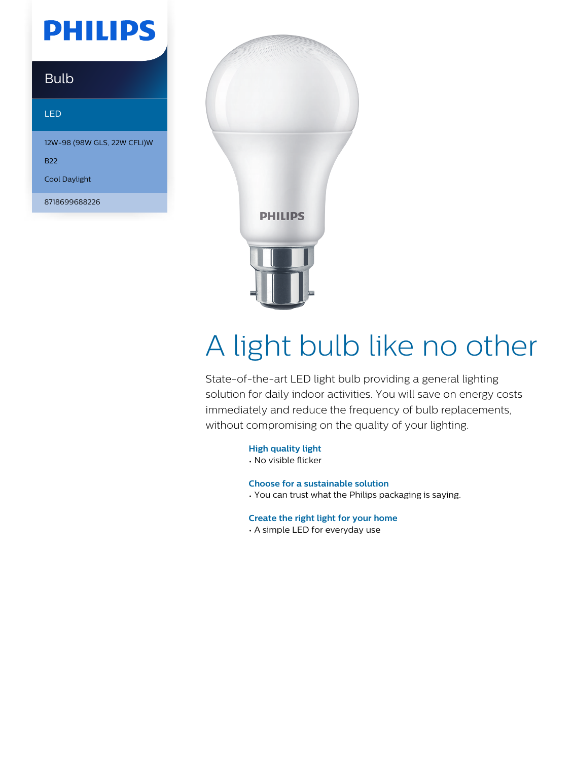## **PHILIPS**

### Bulb

#### LED

12W-98 (98W GLS, 22W CFLi)W

B22

Cool Daylight

8718699688226



# A light bulb like no other

State-of-the-art LED light bulb providing a general lighting solution for daily indoor activities. You will save on energy costs immediately and reduce the frequency of bulb replacements, without compromising on the quality of your lighting.

**High quality light**

• No visible flicker

**Choose for a sustainable solution**

• You can trust what the Philips packaging is saying.

**Create the right light for your home**

• A simple LED for everyday use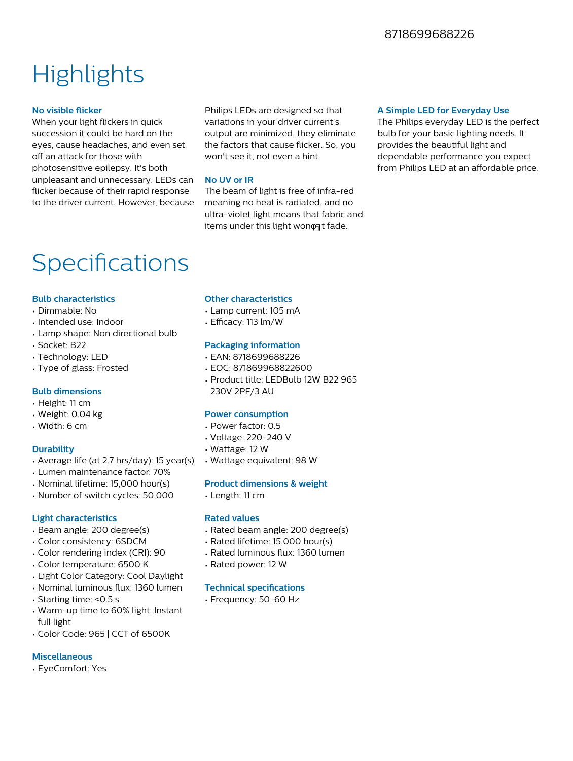### **Highlights**

#### **No visible flicker**

When your light flickers in quick succession it could be hard on the eyes, cause headaches, and even set off an attack for those with photosensitive epilepsy. It's both unpleasant and unnecessary. LEDs can flicker because of their rapid response to the driver current. However, because

Philips LEDs are designed so that variations in your driver current's output are minimized, they eliminate the factors that cause flicker. So, you won't see it, not even a hint.

#### **No UV or IR**

The beam of light is free of infra-red meaning no heat is radiated, and no ultra-violet light means that fabric and items under this light wonφηt fade.

#### **A Simple LED for Everyday Use**

The Philips everyday LED is the perfect bulb for your basic lighting needs. It provides the beautiful light and dependable performance you expect from Philips LED at an affordable price.

### Specifications

#### **Bulb characteristics**

- Dimmable: No
- Intended use: Indoor
- Lamp shape: Non directional bulb
- Socket: B22
- Technology: LED
- Type of glass: Frosted

#### **Bulb dimensions**

- Height: 11 cm
- Weight: 0.04 kg
- Width: 6 cm

#### **Durability**

- Average life (at 2.7 hrs/day): 15 year(s)
- Lumen maintenance factor: 70%
- Nominal lifetime: 15,000 hour(s)
- Number of switch cycles: 50,000

#### **Light characteristics**

- Beam angle: 200 degree(s)
- Color consistency: 6SDCM
- Color rendering index (CRI): 90
- Color temperature: 6500 K
- Light Color Category: Cool Daylight
- Nominal luminous flux: 1360 lumen
- Starting time: <0.5 s
- Warm-up time to 60% light: Instant full light
- Color Code: 965 | CCT of 6500K

#### **Miscellaneous**

• EyeComfort: Yes

#### **Other characteristics**

- Lamp current: 105 mA
- $\cdot$  Efficacy: 113 lm/W

#### **Packaging information**

- EAN: 8718699688226
- EOC: 871869968822600
- Product title: LEDBulb 12W B22 965 230V 2PF/3 AU

#### **Power consumption**

- Power factor: 0.5
- Voltage: 220-240 V
- Wattage: 12 W
- Wattage equivalent: 98 W

#### **Product dimensions & weight**

• Length: 11 cm

#### **Rated values**

- Rated beam angle: 200 degree(s)
- Rated lifetime: 15,000 hour(s)
- Rated luminous flux: 1360 lumen
- Rated power: 12 W

#### **Technical specifications**

• Frequency: 50-60 Hz